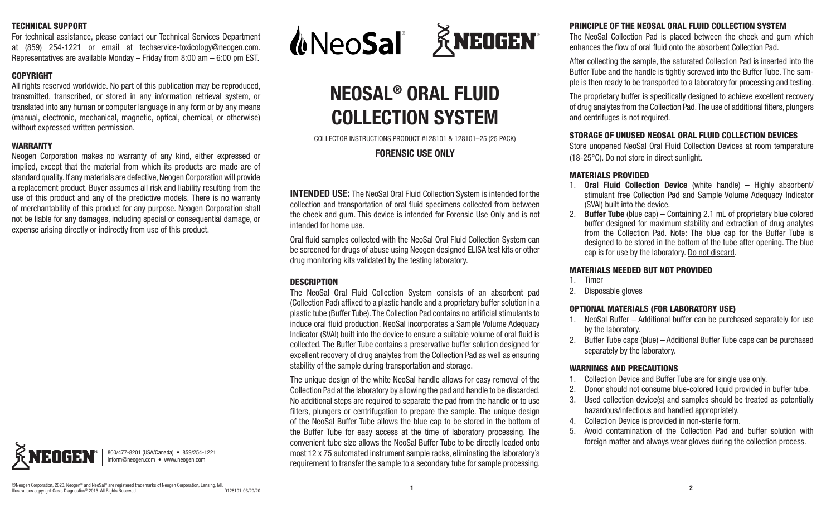#### TECHNICAL SUPPORT

For technical assistance, please contact our Technical Services Department at (859) 254-1221 or email at techservice-toxicology@neogen.com. Representatives are available Monday – Friday from 8:00 am – 6:00 pm EST.

#### COPYRIGHT

All rights reserved worldwide. No part of this publication may be reproduced, transmitted, transcribed, or stored in any information retrieval system, or translated into any human or computer language in any form or by any means (manual, electronic, mechanical, magnetic, optical, chemical, or otherwise) without expressed written permission.

#### WARRANTY

Neogen Corporation makes no warranty of any kind, either expressed or implied, except that the material from which its products are made are of standard quality. If any materials are defective, Neogen Corporation will provide a replacement product. Buyer assumes all risk and liability resulting from the use of this product and any of the predictive models. There is no warranty of merchantability of this product for any purpose. Neogen Corporation shall not be liable for any damages, including special or consequential damage, or expense arising directly or indirectly from use of this product.



800/477-8201 (USA/Canada) • 859/254-1221 inform@neogen.com • www.neogen.com



# **NEOSAL® ORAL FLUID COLLECTION SYSTEM**

COLLECTOR INSTRUCTIONS PRODUCT #128101 & 128101–25 (25 PACK)

#### **FORENSIC USE ONLY**

**INTENDED USE:** The NeoSal Oral Fluid Collection System is intended for the collection and transportation of oral fluid specimens collected from between the cheek and gum. This device is intended for Forensic Use Only and is not intended for home use.

Oral fluid samples collected with the NeoSal Oral Fluid Collection System can be screened for drugs of abuse using Neogen designed ELISA test kits or other drug monitoring kits validated by the testing laboratory.

#### **DESCRIPTION**

The NeoSal Oral Fluid Collection System consists of an absorbent pad (Collection Pad) affixed to a plastic handle and a proprietary buffer solution in a plastic tube (Buffer Tube). The Collection Pad contains no artificial stimulants to induce oral fluid production. NeoSal incorporates a Sample Volume Adequacy Indicator (SVAI) built into the device to ensure a suitable volume of oral fluid is collected. The Buffer Tube contains a preservative buffer solution designed for excellent recovery of drug analytes from the Collection Pad as well as ensuring stability of the sample during transportation and storage.

The unique design of the white NeoSal handle allows for easy removal of the Collection Pad at the laboratory by allowing the pad and handle to be discarded. No additional steps are required to separate the pad from the handle or to use filters, plungers or centrifugation to prepare the sample. The unique design of the NeoSal Buffer Tube allows the blue cap to be stored in the bottom of the Buffer Tube for easy access at the time of laboratory processing. The convenient tube size allows the NeoSal Buffer Tube to be directly loaded onto most 12 x 75 automated instrument sample racks, eliminating the laboratory's requirement to transfer the sample to a secondary tube for sample processing.

### PRINCIPLE OF THE NEOSAL ORAL FLUID COLLECTION SYSTEM

The NeoSal Collection Pad is placed between the cheek and gum which enhances the flow of oral fluid onto the absorbent Collection Pad.

After collecting the sample, the saturated Collection Pad is inserted into the Buffer Tube and the handle is tightly screwed into the Buffer Tube. The sample is then ready to be transported to a laboratory for processing and testing.

The proprietary buffer is specifically designed to achieve excellent recovery of drug analytes from the Collection Pad. The use of additional filters, plungers and centrifuges is not required.

#### STORAGE OF UNUSED NEOSAL ORAL FLUID COLLECTION DEVICES

Store unopened NeoSal Oral Fluid Collection Devices at room temperature (18-25°C). Do not store in direct sunlight.

#### MATERIALS PROVIDED

- 1. **Oral Fluid Collection Device** (white handle) Highly absorbent/ stimulant free Collection Pad and Sample Volume Adequacy Indicator (SVAI) built into the device.
- 2. **Buffer Tube** (blue cap) Containing 2.1 mL of proprietary blue colored buffer designed for maximum stability and extraction of drug analytes from the Collection Pad. Note: The blue cap for the Buffer Tube is designed to be stored in the bottom of the tube after opening. The blue cap is for use by the laboratory. Do not discard.

#### MATERIALS NEEDED BUT NOT PROVIDED

- 1. Timer
- 2. Disposable gloves

#### OPTIONAL MATERIALS (FOR LABORATORY USE)

- 1. NeoSal Buffer Additional buffer can be purchased separately for use by the laboratory.
- 2. Buffer Tube caps (blue) Additional Buffer Tube caps can be purchased separately by the laboratory.

#### WARNINGS AND PRECAUTIONS

- 1. Collection Device and Buffer Tube are for single use only.
- 2. Donor should not consume blue-colored liquid provided in buffer tube.
- 3. Used collection device(s) and samples should be treated as potentially hazardous/infectious and handled appropriately.
- 4. Collection Device is provided in non-sterile form.
- 5. Avoid contamination of the Collection Pad and buffer solution with foreign matter and always wear gloves during the collection process.